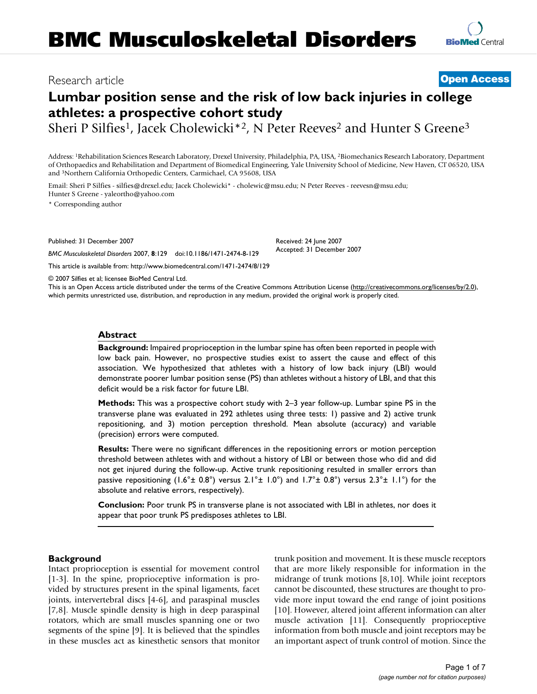# Research article **[Open Access](http://www.biomedcentral.com/info/about/charter/)**

# **Lumbar position sense and the risk of low back injuries in college athletes: a prospective cohort study**

Sheri P Silfies<sup>1</sup>, Jacek Cholewicki<sup>\*2</sup>, N Peter Reeves<sup>2</sup> and Hunter S Greene<sup>3</sup>

Address: 1Rehabilitation Sciences Research Laboratory, Drexel University, Philadelphia, PA, USA, 2Biomechanics Research Laboratory, Department of Orthopaedics and Rehabilitation and Department of Biomedical Engineering, Yale University School of Medicine, New Haven, CT 06520, USA and 3Northern California Orthopedic Centers, Carmichael, CA 95608, USA

Email: Sheri P Silfies - silfies@drexel.edu; Jacek Cholewicki\* - cholewic@msu.edu; N Peter Reeves - reevesn@msu.edu; Hunter S Greene - yaleortho@yahoo.com

\* Corresponding author

Published: 31 December 2007

*BMC Musculoskeletal Disorders* 2007, **8**:129 doi:10.1186/1471-2474-8-129 [This article is available from: http://www.biomedcentral.com/1471-2474/8/129](http://www.biomedcentral.com/1471-2474/8/129) Received: 24 June 2007 Accepted: 31 December 2007

© 2007 Silfies et al; licensee BioMed Central Ltd.

This is an Open Access article distributed under the terms of the Creative Commons Attribution License [\(http://creativecommons.org/licenses/by/2.0\)](http://creativecommons.org/licenses/by/2.0), which permits unrestricted use, distribution, and reproduction in any medium, provided the original work is properly cited.

#### **Abstract**

**Background:** Impaired proprioception in the lumbar spine has often been reported in people with low back pain. However, no prospective studies exist to assert the cause and effect of this association. We hypothesized that athletes with a history of low back injury (LBI) would demonstrate poorer lumbar position sense (PS) than athletes without a history of LBI, and that this deficit would be a risk factor for future LBI.

**Methods:** This was a prospective cohort study with 2–3 year follow-up. Lumbar spine PS in the transverse plane was evaluated in 292 athletes using three tests: 1) passive and 2) active trunk repositioning, and 3) motion perception threshold. Mean absolute (accuracy) and variable (precision) errors were computed.

**Results:** There were no significant differences in the repositioning errors or motion perception threshold between athletes with and without a history of LBI or between those who did and did not get injured during the follow-up. Active trunk repositioning resulted in smaller errors than passive repositioning  $(1.6° \pm 0.8°)$  versus  $2.1° \pm 1.0°)$  and  $1.7° \pm 0.8°$ ) versus  $2.3° \pm 1.1°$  for the absolute and relative errors, respectively).

**Conclusion:** Poor trunk PS in transverse plane is not associated with LBI in athletes, nor does it appear that poor trunk PS predisposes athletes to LBI.

#### **Background**

Intact proprioception is essential for movement control [1-3]. In the spine, proprioceptive information is provided by structures present in the spinal ligaments, facet joints, intervertebral discs [4-6], and paraspinal muscles [7,8]. Muscle spindle density is high in deep paraspinal rotators, which are small muscles spanning one or two segments of the spine [9]. It is believed that the spindles in these muscles act as kinesthetic sensors that monitor trunk position and movement. It is these muscle receptors that are more likely responsible for information in the midrange of trunk motions [8,10]. While joint receptors cannot be discounted, these structures are thought to provide more input toward the end range of joint positions [10]. However, altered joint afferent information can alter muscle activation [11]. Consequently proprioceptive information from both muscle and joint receptors may be an important aspect of trunk control of motion. Since the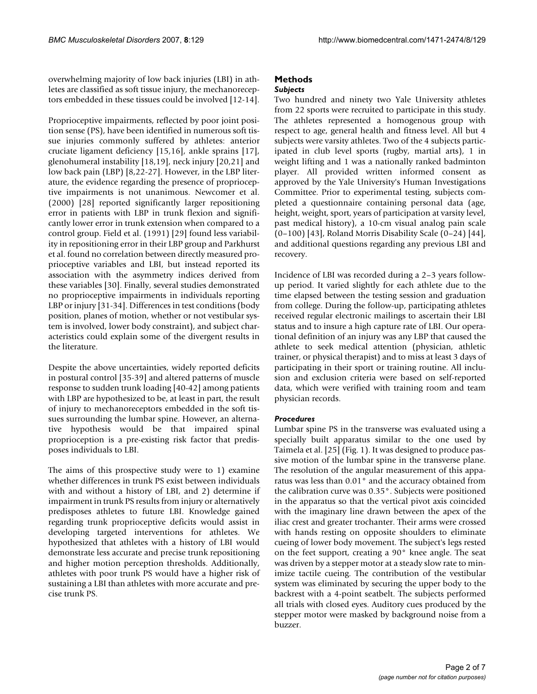overwhelming majority of low back injuries (LBI) in athletes are classified as soft tissue injury, the mechanoreceptors embedded in these tissues could be involved [12-14].

Proprioceptive impairments, reflected by poor joint position sense (PS), have been identified in numerous soft tissue injuries commonly suffered by athletes: anterior cruciate ligament deficiency [15,16], ankle sprains [17], glenohumeral instability [18,19], neck injury [20,21] and low back pain (LBP) [8,22-27]. However, in the LBP literature, the evidence regarding the presence of proprioceptive impairments is not unanimous. Newcomer et al. (2000) [28] reported significantly larger repositioning error in patients with LBP in trunk flexion and significantly lower error in trunk extension when compared to a control group. Field et al. (1991) [29] found less variability in repositioning error in their LBP group and Parkhurst et al. found no correlation between directly measured proprioceptive variables and LBI, but instead reported its association with the asymmetry indices derived from these variables [30]. Finally, several studies demonstrated no proprioceptive impairments in individuals reporting LBP or injury [31-34]. Differences in test conditions (body position, planes of motion, whether or not vestibular system is involved, lower body constraint), and subject characteristics could explain some of the divergent results in the literature.

Despite the above uncertainties, widely reported deficits in postural control [35-39] and altered patterns of muscle response to sudden trunk loading [40-42] among patients with LBP are hypothesized to be, at least in part, the result of injury to mechanoreceptors embedded in the soft tissues surrounding the lumbar spine. However, an alternative hypothesis would be that impaired spinal proprioception is a pre-existing risk factor that predisposes individuals to LBI.

The aims of this prospective study were to 1) examine whether differences in trunk PS exist between individuals with and without a history of LBI, and 2) determine if impairment in trunk PS results from injury or alternatively predisposes athletes to future LBI. Knowledge gained regarding trunk proprioceptive deficits would assist in developing targeted interventions for athletes. We hypothesized that athletes with a history of LBI would demonstrate less accurate and precise trunk repositioning and higher motion perception thresholds. Additionally, athletes with poor trunk PS would have a higher risk of sustaining a LBI than athletes with more accurate and precise trunk PS.

# **Methods**

# *Subjects*

Two hundred and ninety two Yale University athletes from 22 sports were recruited to participate in this study. The athletes represented a homogenous group with respect to age, general health and fitness level. All but 4 subjects were varsity athletes. Two of the 4 subjects participated in club level sports (rugby, martial arts), 1 in weight lifting and 1 was a nationally ranked badminton player. All provided written informed consent as approved by the Yale University's Human Investigations Committee. Prior to experimental testing, subjects completed a questionnaire containing personal data (age, height, weight, sport, years of participation at varsity level, past medical history), a 10-cm visual analog pain scale (0–100) [43], Roland Morris Disability Scale (0–24) [44], and additional questions regarding any previous LBI and recovery.

Incidence of LBI was recorded during a 2–3 years followup period. It varied slightly for each athlete due to the time elapsed between the testing session and graduation from college. During the follow-up, participating athletes received regular electronic mailings to ascertain their LBI status and to insure a high capture rate of LBI. Our operational definition of an injury was any LBP that caused the athlete to seek medical attention (physician, athletic trainer, or physical therapist) and to miss at least 3 days of participating in their sport or training routine. All inclusion and exclusion criteria were based on self-reported data, which were verified with training room and team physician records.

# *Procedures*

Lumbar spine PS in the transverse was evaluated using a specially built apparatus similar to the one used by Taimela et al. [25] (Fig. 1). It was designed to produce passive motion of the lumbar spine in the transverse plane. The resolution of the angular measurement of this apparatus was less than 0.01° and the accuracy obtained from the calibration curve was 0.35°. Subjects were positioned in the apparatus so that the vertical pivot axis coincided with the imaginary line drawn between the apex of the iliac crest and greater trochanter. Their arms were crossed with hands resting on opposite shoulders to eliminate cueing of lower body movement. The subject's legs rested on the feet support, creating a 90° knee angle. The seat was driven by a stepper motor at a steady slow rate to minimize tactile cueing. The contribution of the vestibular system was eliminated by securing the upper body to the backrest with a 4-point seatbelt. The subjects performed all trials with closed eyes. Auditory cues produced by the stepper motor were masked by background noise from a buzzer.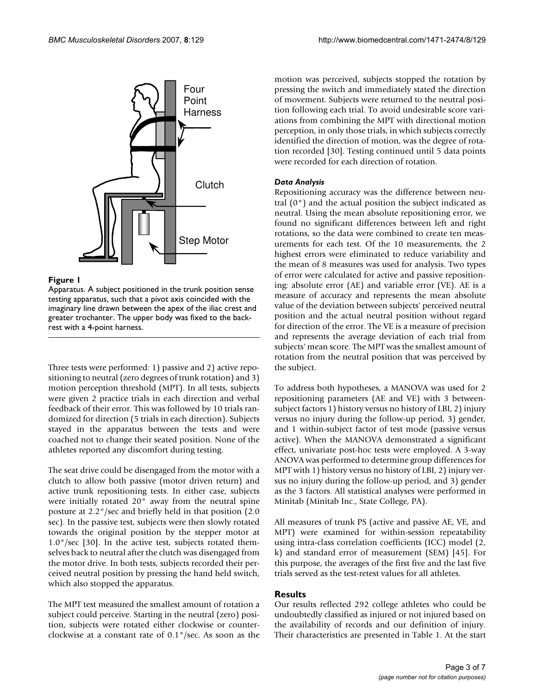

#### **Figure 1**

Apparatus. A subject positioned in the trunk position sense testing apparatus, such that a pivot axis coincided with the imaginary line drawn between the apex of the iliac crest and greater trochanter. The upper body was fixed to the backrest with a 4-point harness.

Three tests were performed: 1) passive and 2) active repositioning to neutral (zero degrees of trunk rotation) and 3) motion perception threshold (MPT). In all tests, subjects were given 2 practice trials in each direction and verbal feedback of their error. This was followed by 10 trials randomized for direction (5 trials in each direction). Subjects stayed in the apparatus between the tests and were coached not to change their seated position. None of the athletes reported any discomfort during testing.

The seat drive could be disengaged from the motor with a clutch to allow both passive (motor driven return) and active trunk repositioning tests. In either case, subjects were initially rotated 20° away from the neutral spine posture at 2.2°/sec and briefly held in that position (2.0 sec). In the passive test, subjects were then slowly rotated towards the original position by the stepper motor at  $1.0^{\circ}/sec$  [30]. In the active test, subjects rotated themselves back to neutral after the clutch was disengaged from the motor drive. In both tests, subjects recorded their perceived neutral position by pressing the hand held switch, which also stopped the apparatus.

The MPT test measured the smallest amount of rotation a subject could perceive. Starting in the neutral (zero) position, subjects were rotated either clockwise or counterclockwise at a constant rate of 0.1°/sec. As soon as the motion was perceived, subjects stopped the rotation by pressing the switch and immediately stated the direction of movement. Subjects were returned to the neutral position following each trial. To avoid undesirable score variations from combining the MPT with directional motion perception, in only those trials, in which subjects correctly identified the direction of motion, was the degree of rotation recorded [30]. Testing continued until 5 data points were recorded for each direction of rotation.

## *Data Analysis*

Repositioning accuracy was the difference between neutral  $(0^{\circ})$  and the actual position the subject indicated as neutral. Using the mean absolute repositioning error, we found no significant differences between left and right rotations, so the data were combined to create ten measurements for each test. Of the 10 measurements, the 2 highest errors were eliminated to reduce variability and the mean of 8 measures was used for analysis. Two types of error were calculated for active and passive repositioning: absolute error (AE) and variable error (VE). AE is a measure of accuracy and represents the mean absolute value of the deviation between subjects' perceived neutral position and the actual neutral position without regard for direction of the error. The VE is a measure of precision and represents the average deviation of each trial from subjects' mean score. The MPT was the smallest amount of rotation from the neutral position that was perceived by the subject.

To address both hypotheses, a MANOVA was used for 2 repositioning parameters (AE and VE) with 3 betweensubject factors 1) history versus no history of LBI, 2) injury versus no injury during the follow-up period, 3) gender, and 1 within-subject factor of test mode (passive versus active). When the MANOVA demonstrated a significant effect, univariate post-hoc tests were employed. A 3-way ANOVA was performed to determine group differences for MPT with 1) history versus no history of LBI, 2) injury versus no injury during the follow-up period, and 3) gender as the 3 factors. All statistical analyses were performed in Minitab (Minitab Inc., State College, PA).

All measures of trunk PS (active and passive AE, VE, and MPT) were examined for within-session repeatability using intra-class correlation coefficients (ICC) model (2, k) and standard error of measurement (SEM) [45]. For this purpose, the averages of the first five and the last five trials served as the test-retest values for all athletes.

# **Results**

Our results reflected 292 college athletes who could be undoubtedly classified as injured or not injured based on the availability of records and our definition of injury. Their characteristics are presented in Table 1. At the start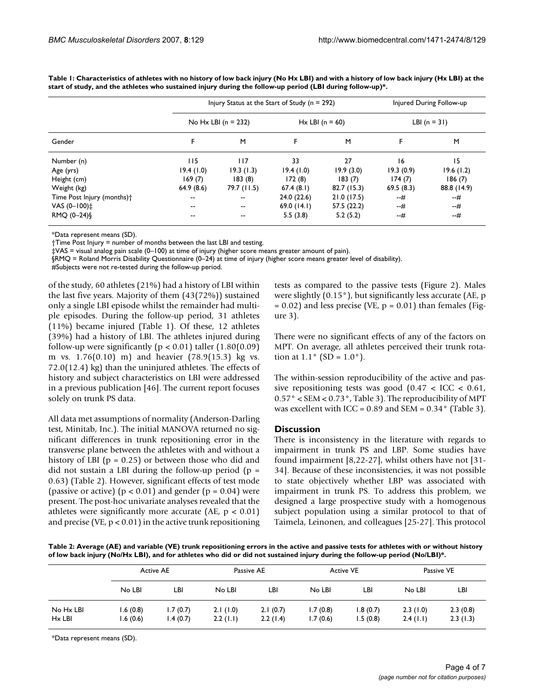|                                        |                          |             | Injury Status at the Start of Study ( $n = 292$ ) |             |                | Injured During Follow-up |  |
|----------------------------------------|--------------------------|-------------|---------------------------------------------------|-------------|----------------|--------------------------|--|
|                                        | No Hx LBI $(n = 232)$    |             | $Hx$ LBI (n = 60)                                 |             | LBI $(n = 31)$ |                          |  |
| Gender                                 | F                        | M           | F                                                 | M           |                | M                        |  |
| Number (n)                             | <b>II5</b>               | 117         | 33                                                | 27          | 16             | 15                       |  |
| Age (yrs)                              | 19.4(1.0)                | 19.3(1.3)   | 19.4(1.0)                                         | 19.9(3.0)   | 19.3(0.9)      | 19.6(1.2)                |  |
| Height (cm)                            | 169(7)                   | 183(8)      | 172(8)                                            | 183(7)      | 174(7)         | 186(7)                   |  |
| Weight (kg)                            | 64.9(8.6)                | 79.7 (11.5) | 67.4(8.1)                                         | 82.7(15.3)  | 69.5(8.3)      | 88.8 (14.9)              |  |
| Time Post Injury (months) <sup>+</sup> | $\overline{\phantom{m}}$ | --          | 24.0(22.6)                                        | 21.0(17.5)  | --#            | --#                      |  |
| VAS $(0-100)$ <sup>+</sup>             | $\overline{\phantom{m}}$ | --          | 69.0(14.1)                                        | 57.5 (22.2) | --#            | --#                      |  |
| RMQ (0-24)§                            | $- -$                    | --          | 5.5(3.8)                                          | 5.2(5.2)    | --#            | --#                      |  |

**Table 1: Characteristics of athletes with no history of low back injury (No Hx LBI) and with a history of low back injury (Hx LBI) at the start of study, and the athletes who sustained injury during the follow-up period (LBI during follow-up)\*.**

\*Data represent means (SD).

†Time Post Injury = number of months between the last LBI and testing.

‡VAS = visual analog pain scale (0–100) at time of injury (higher score means greater amount of pain).

§RMQ = Roland Morris Disability Questionnaire (0–24) at time of injury (higher score means greater level of disability).

#Subjects were not re-tested during the follow-up period.

of the study, 60 athletes (21%) had a history of LBI within the last five years. Majority of them (43(72%)) sustained only a single LBI episode whilst the remainder had multiple episodes. During the follow-up period, 31 athletes (11%) became injured (Table 1). Of these, 12 athletes (39%) had a history of LBI. The athletes injured during follow-up were significantly ( $p < 0.01$ ) taller (1.80(0.09) m vs. 1.76(0.10) m) and heavier (78.9(15.3) kg vs. 72.0(12.4) kg) than the uninjured athletes. The effects of history and subject characteristics on LBI were addressed in a previous publication [46]. The current report focuses solely on trunk PS data.

All data met assumptions of normality (Anderson-Darling test, Minitab, Inc.). The initial MANOVA returned no significant differences in trunk repositioning error in the transverse plane between the athletes with and without a history of LBI ( $p = 0.25$ ) or between those who did and did not sustain a LBI during the follow-up period ( $p =$ 0.63) (Table 2). However, significant effects of test mode (passive or active) ( $p < 0.01$ ) and gender ( $p = 0.04$ ) were present. The post-hoc univariate analyses revealed that the athletes were significantly more accurate (AE,  $p < 0.01$ ) and precise (VE,  $p < 0.01$ ) in the active trunk repositioning tests as compared to the passive tests (Figure 2). Males were slightly (0.15°), but significantly less accurate (AE, p  $= 0.02$ ) and less precise (VE,  $p = 0.01$ ) than females (Figure 3).

There were no significant effects of any of the factors on MPT. On average, all athletes perceived their trunk rotation at  $1.1^{\circ}$  (SD =  $1.0^{\circ}$ ).

The within-session reproducibility of the active and passive repositioning tests was good  $(0.47 < ICC < 0.61)$ , 0.57° < SEM < 0.73°, Table 3). The reproducibility of MPT was excellent with ICC =  $0.89$  and SEM =  $0.34^\circ$  (Table 3).

#### **Discussion**

There is inconsistency in the literature with regards to impairment in trunk PS and LBP. Some studies have found impairment [8,22-27], whilst others have not [31- 34]. Because of these inconsistencies, it was not possible to state objectively whether LBP was associated with impairment in trunk PS. To address this problem, we designed a large prospective study with a homogenous subject population using a similar protocol to that of Taimela, Leinonen, and colleagues [25-27]. This protocol

**Table 2: Average (AE) and variable (VE) trunk repositioning errors in the active and passive tests for athletes with or without history of low back injury (No/Hx LBI), and for athletes who did or did not sustained injury during the follow-up period (No/LBI)\*.**

|                       |                      | <b>Active AE</b>     |                         | Passive AE           |                      | <b>Active VE</b>     |                      | Passive VE           |  |
|-----------------------|----------------------|----------------------|-------------------------|----------------------|----------------------|----------------------|----------------------|----------------------|--|
|                       | No LBI               | LВI                  | No LBI                  | LBI                  | No LBI               | LBI                  | No LBI               | LBI                  |  |
| No Hx LBI<br>$Hx$ LBI | .6(0.8)<br>l.6 (0.6) | 1.7(0.7)<br>1.4(0.7) | 2.1(1.0)<br>$2.2$ (1.1) | 2.1(0.7)<br>2.2(1.4) | 1.7(0.8)<br>1.7(0.6) | 1.8(0.7)<br>1.5(0.8) | 2.3(1.0)<br>2.4(1.1) | 2.3(0.8)<br>2.3(1.3) |  |

\*Data represent means (SD).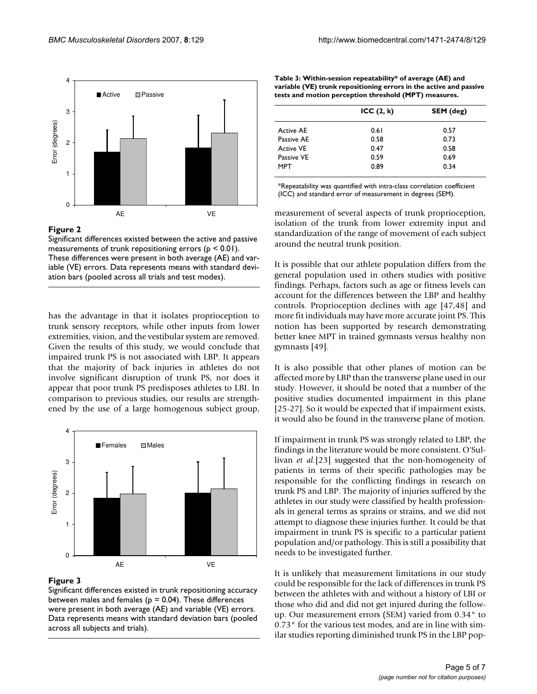

#### Figure 2

Significant differences existed between the active and passive measurements of trunk repositioning errors ( $p < 0.01$ ). These differences were present in both average (AE) and variable (VE) errors. Data represents means with standard deviation bars (pooled across all trials and test modes).

has the advantage in that it isolates proprioception to trunk sensory receptors, while other inputs from lower extremities, vision, and the vestibular system are removed. Given the results of this study, we would conclude that impaired trunk PS is not associated with LBP. It appears that the majority of back injuries in athletes do not involve significant disruption of trunk PS, nor does it appear that poor trunk PS predisposes athletes to LBI. In comparison to previous studies, our results are strengthened by the use of a large homogenous subject group,



#### Figure 3

Significant differences existed in trunk repositioning accuracy between males and females ( $p = 0.04$ ). These differences were present in both average (AE) and variable (VE) errors. Data represents means with standard deviation bars (pooled across all subjects and trials).

**Table 3: Within-session repeatability\* of average (AE) and variable (VE) trunk repositioning errors in the active and passive tests and motion perception threshold (MPT) measures.**

|                  | ICC(2, k) | SEM (deg) |  |
|------------------|-----------|-----------|--|
| <b>Active AF</b> | 0.61      | 0.57      |  |
| Passive AF       | 0.58      | 0.73      |  |
| <b>Active VF</b> | 0.47      | 0.58      |  |
| Passive VE       | 0.59      | 0.69      |  |
| MPT              | 0.89      | 0.34      |  |

\*Repeatability was quantified with intra-class correlation coefficient (ICC) and standard error of measurement in degrees (SEM).

measurement of several aspects of trunk proprioception, isolation of the trunk from lower extremity input and standardization of the range of movement of each subject around the neutral trunk position.

It is possible that our athlete population differs from the general population used in others studies with positive findings. Perhaps, factors such as age or fitness levels can account for the differences between the LBP and healthy controls. Proprioception declines with age [47,48] and more fit individuals may have more accurate joint PS. This notion has been supported by research demonstrating better knee MPT in trained gymnasts versus healthy non gymnasts [49].

It is also possible that other planes of motion can be affected more by LBP than the transverse plane used in our study. However, it should be noted that a number of the positive studies documented impairment in this plane [25-27]. So it would be expected that if impairment exists, it would also be found in the transverse plane of motion.

If impairment in trunk PS was strongly related to LBP, the findings in the literature would be more consistent. O'Sullivan *et al.*[23] suggested that the non-homogeneity of patients in terms of their specific pathologies may be responsible for the conflicting findings in research on trunk PS and LBP. The majority of injuries suffered by the athletes in our study were classified by health professionals in general terms as sprains or strains, and we did not attempt to diagnose these injuries further. It could be that impairment in trunk PS is specific to a particular patient population and/or pathology. This is still a possibility that needs to be investigated further.

It is unlikely that measurement limitations in our study could be responsible for the lack of differences in trunk PS between the athletes with and without a history of LBI or those who did and did not get injured during the followup. Our measurement errors (SEM) varied from 0.34° to 0.73° for the various test modes, and are in line with similar studies reporting diminished trunk PS in the LBP pop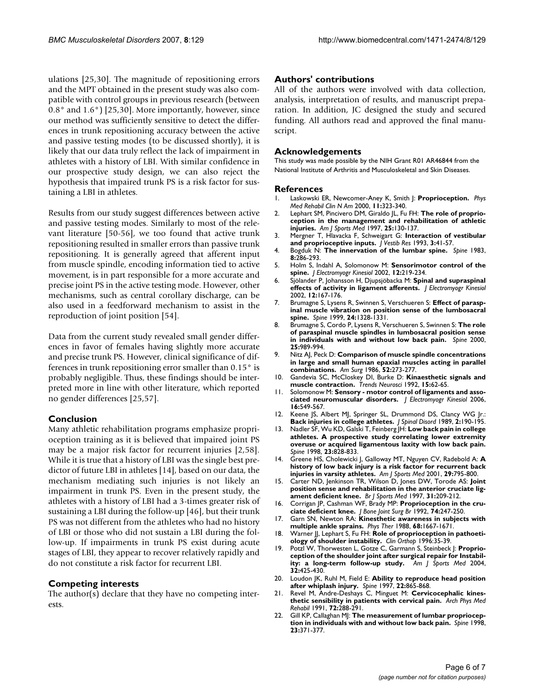ulations [25,30]. The magnitude of repositioning errors and the MPT obtained in the present study was also compatible with control groups in previous research (between 0.8° and 1.6°) [25,30]. More importantly, however, since our method was sufficiently sensitive to detect the differences in trunk repositioning accuracy between the active and passive testing modes (to be discussed shortly), it is likely that our data truly reflect the lack of impairment in athletes with a history of LBI. With similar confidence in our prospective study design, we can also reject the hypothesis that impaired trunk PS is a risk factor for sustaining a LBI in athletes.

Results from our study suggest differences between active and passive testing modes. Similarly to most of the relevant literature [50-56], we too found that active trunk repositioning resulted in smaller errors than passive trunk repositioning. It is generally agreed that afferent input from muscle spindle, encoding information tied to active movement, is in part responsible for a more accurate and precise joint PS in the active testing mode. However, other mechanisms, such as central corollary discharge, can be also used in a feedforward mechanism to assist in the reproduction of joint position [54].

Data from the current study revealed small gender differences in favor of females having slightly more accurate and precise trunk PS. However, clinical significance of differences in trunk repositioning error smaller than 0.15° is probably negligible. Thus, these findings should be interpreted more in line with other literature, which reported no gender differences [25,57].

# **Conclusion**

Many athletic rehabilitation programs emphasize proprioception training as it is believed that impaired joint PS may be a major risk factor for recurrent injuries [2,58]. While it is true that a history of LBI was the single best predictor of future LBI in athletes [14], based on our data, the mechanism mediating such injuries is not likely an impairment in trunk PS. Even in the present study, the athletes with a history of LBI had a 3-times greater risk of sustaining a LBI during the follow-up [46], but their trunk PS was not different from the athletes who had no history of LBI or those who did not sustain a LBI during the follow-up. If impairments in trunk PS exist during acute stages of LBI, they appear to recover relatively rapidly and do not constitute a risk factor for recurrent LBI.

# **Competing interests**

The author(s) declare that they have no competing interests.

# **Authors' contributions**

All of the authors were involved with data collection, analysis, interpretation of results, and manuscript preparation. In addition, JC designed the study and secured funding. All authors read and approved the final manuscript.

## **Acknowledgements**

This study was made possible by the NIH Grant R01 AR46844 from the National Institute of Arthritis and Musculoskeletal and Skin Diseases.

## **References**

- 1. Laskowski ER, Newcomer-Aney K, Smith J: **[Proprioception.](http://www.ncbi.nlm.nih.gov/entrez/query.fcgi?cmd=Retrieve&db=PubMed&dopt=Abstract&list_uids=10810764)** *Phys Med Rehabil Clin N Am* 2000, **11:**323-340.
- 2. Lephart SM, Pincivero DM, Giraldo JL, Fu FH: **[The role of proprio](http://www.ncbi.nlm.nih.gov/entrez/query.fcgi?cmd=Retrieve&db=PubMed&dopt=Abstract&list_uids=9006708)[ception in the management and rehabilitation of athletic](http://www.ncbi.nlm.nih.gov/entrez/query.fcgi?cmd=Retrieve&db=PubMed&dopt=Abstract&list_uids=9006708) [injuries.](http://www.ncbi.nlm.nih.gov/entrez/query.fcgi?cmd=Retrieve&db=PubMed&dopt=Abstract&list_uids=9006708)** *Am J Sports Med* 1997, **25:**130-137.
- 3. Mergner T, Hlavacka F, Schweigart G: **[Interaction of vestibular](http://www.ncbi.nlm.nih.gov/entrez/query.fcgi?cmd=Retrieve&db=PubMed&dopt=Abstract&list_uids=8275243) [and proprioceptive inputs.](http://www.ncbi.nlm.nih.gov/entrez/query.fcgi?cmd=Retrieve&db=PubMed&dopt=Abstract&list_uids=8275243)** *J Vestib Res* 1993, **3:**41-57.
- 4. Bogduk N: **[The innervation of the lumbar spine.](http://www.ncbi.nlm.nih.gov/entrez/query.fcgi?cmd=Retrieve&db=PubMed&dopt=Abstract&list_uids=6226119)** *Spine* 1983, **8:**286-293.
- 5. Holm S, Indahl A, Solomonow M: **[Sensorimotor control of the](http://www.ncbi.nlm.nih.gov/entrez/query.fcgi?cmd=Retrieve&db=PubMed&dopt=Abstract&list_uids=12086817) [spine.](http://www.ncbi.nlm.nih.gov/entrez/query.fcgi?cmd=Retrieve&db=PubMed&dopt=Abstract&list_uids=12086817)** *J Electromyogr Kinesiol* 2002, **12:**219-234.
- 6. Sjölander P, Johansson H, Djupsjöbacka M: **[Spinal and supraspinal](http://www.ncbi.nlm.nih.gov/entrez/query.fcgi?cmd=Retrieve&db=PubMed&dopt=Abstract&list_uids=12086810) [effects of activity in ligament afferents.](http://www.ncbi.nlm.nih.gov/entrez/query.fcgi?cmd=Retrieve&db=PubMed&dopt=Abstract&list_uids=12086810)** *J Electromyogr Kinesiol* 2002, **12:**167-176.
- 7. Brumagne S, Lysens R, Swinnen S, Verschueren S: **[Effect of parasp](http://www.ncbi.nlm.nih.gov/entrez/query.fcgi?cmd=Retrieve&db=PubMed&dopt=Abstract&list_uids=10404575)[inal muscle vibration on position sense of the lumbosacral](http://www.ncbi.nlm.nih.gov/entrez/query.fcgi?cmd=Retrieve&db=PubMed&dopt=Abstract&list_uids=10404575) [spine.](http://www.ncbi.nlm.nih.gov/entrez/query.fcgi?cmd=Retrieve&db=PubMed&dopt=Abstract&list_uids=10404575)** *Spine* 1999, **24:**1328-1331.
- 8. Brumagne S, Cordo P, Lysens R, Verschueren S, Swinnen S: **[The role](http://www.ncbi.nlm.nih.gov/entrez/query.fcgi?cmd=Retrieve&db=PubMed&dopt=Abstract&list_uids=10767813) [of paraspinal muscle spindles in lumbosacral position sense](http://www.ncbi.nlm.nih.gov/entrez/query.fcgi?cmd=Retrieve&db=PubMed&dopt=Abstract&list_uids=10767813) [in individuals with and without low back pain.](http://www.ncbi.nlm.nih.gov/entrez/query.fcgi?cmd=Retrieve&db=PubMed&dopt=Abstract&list_uids=10767813)** *Spine* 2000, **25:**989-994.
- 9. Nitz AJ, Peck D: **[Comparison of muscle spindle concentrations](http://www.ncbi.nlm.nih.gov/entrez/query.fcgi?cmd=Retrieve&db=PubMed&dopt=Abstract&list_uids=2422993) [in large and small human epaxial muscles acting in parallel](http://www.ncbi.nlm.nih.gov/entrez/query.fcgi?cmd=Retrieve&db=PubMed&dopt=Abstract&list_uids=2422993) [combinations.](http://www.ncbi.nlm.nih.gov/entrez/query.fcgi?cmd=Retrieve&db=PubMed&dopt=Abstract&list_uids=2422993)** *Am Surg* 1986, **52:**273-277.
- 10. Gandevia SC, McCloskey DI, Burke D: **[Kinaesthetic signals and](http://www.ncbi.nlm.nih.gov/entrez/query.fcgi?cmd=Retrieve&db=PubMed&dopt=Abstract&list_uids=1374964) [muscle contraction.](http://www.ncbi.nlm.nih.gov/entrez/query.fcgi?cmd=Retrieve&db=PubMed&dopt=Abstract&list_uids=1374964)** *Trends Neurosci* 1992, **15:**62-65.
- 11. Solomonow M: **[Sensory motor control of ligaments and asso](http://www.ncbi.nlm.nih.gov/entrez/query.fcgi?cmd=Retrieve&db=PubMed&dopt=Abstract&list_uids=17045488)[ciated neuromuscular disorders.](http://www.ncbi.nlm.nih.gov/entrez/query.fcgi?cmd=Retrieve&db=PubMed&dopt=Abstract&list_uids=17045488)** *J Electromyogr Kinesiol* 2006, **16:**549-567.
- 12. Keene JS, Albert MJ, Springer SL, Drummond DS, Clancy WG Jr.: **[Back injuries in college athletes.](http://www.ncbi.nlm.nih.gov/entrez/query.fcgi?cmd=Retrieve&db=PubMed&dopt=Abstract&list_uids=2520075)** *J Spinal Disord* 1989, **2:**190-195.
- 13. Nadler SF, Wu KD, Galski T, Feinberg JH: **[Low back pain in college](http://www.ncbi.nlm.nih.gov/entrez/query.fcgi?cmd=Retrieve&db=PubMed&dopt=Abstract&list_uids=9563115) [athletes. A prospective study correlating lower extremity](http://www.ncbi.nlm.nih.gov/entrez/query.fcgi?cmd=Retrieve&db=PubMed&dopt=Abstract&list_uids=9563115) overuse or acquired ligamentous laxity with low back pain.** *Spine* 1998, **23:**828-833.
- 14. Greene HS, Cholewicki J, Galloway MT, Nguyen CV, Radebold A: **[A](http://www.ncbi.nlm.nih.gov/entrez/query.fcgi?cmd=Retrieve&db=PubMed&dopt=Abstract&list_uids=11734495) [history of low back injury is a risk factor for recurrent back](http://www.ncbi.nlm.nih.gov/entrez/query.fcgi?cmd=Retrieve&db=PubMed&dopt=Abstract&list_uids=11734495) [injuries in varsity athletes.](http://www.ncbi.nlm.nih.gov/entrez/query.fcgi?cmd=Retrieve&db=PubMed&dopt=Abstract&list_uids=11734495)** *Am J Sports Med* 2001, **29:**795-800.
- 15. Carter ND, Jenkinson TR, Wilson D, Jones DW, Torode AS: **[Joint](http://www.ncbi.nlm.nih.gov/entrez/query.fcgi?cmd=Retrieve&db=PubMed&dopt=Abstract&list_uids=9298555) [position sense and rehabilitation in the anterior cruciate lig](http://www.ncbi.nlm.nih.gov/entrez/query.fcgi?cmd=Retrieve&db=PubMed&dopt=Abstract&list_uids=9298555)[ament deficient knee.](http://www.ncbi.nlm.nih.gov/entrez/query.fcgi?cmd=Retrieve&db=PubMed&dopt=Abstract&list_uids=9298555)** *Br J Sports Med* 1997, **31:**209-212.
- 16. Corrigan JP, Cashman WF, Brady MP: **[Proprioception in the cru](http://www.ncbi.nlm.nih.gov/entrez/query.fcgi?cmd=Retrieve&db=PubMed&dopt=Abstract&list_uids=1544962)[ciate deficient knee.](http://www.ncbi.nlm.nih.gov/entrez/query.fcgi?cmd=Retrieve&db=PubMed&dopt=Abstract&list_uids=1544962)** *J Bone Joint Surg Br* 1992, **74:**247-250.
- 17. Garn SN, Newton RA: **[Kinesthetic awareness in subjects with](http://www.ncbi.nlm.nih.gov/entrez/query.fcgi?cmd=Retrieve&db=PubMed&dopt=Abstract&list_uids=3186791) [multiple ankle sprains.](http://www.ncbi.nlm.nih.gov/entrez/query.fcgi?cmd=Retrieve&db=PubMed&dopt=Abstract&list_uids=3186791)** *Phys Ther* 1988, **68:**1667-1671.
- 18. Warner JJ, Lephart S, Fu FH: [Role of proprioception in pathoeti](http://www.ncbi.nlm.nih.gov/entrez/query.fcgi?cmd=Retrieve&db=PubMed&dopt=Abstract&list_uids=8804272)**[ology of shoulder instability.](http://www.ncbi.nlm.nih.gov/entrez/query.fcgi?cmd=Retrieve&db=PubMed&dopt=Abstract&list_uids=8804272)** *Clin Orthop* 1996:35-39.
- 19. Potzl W, Thorwesten L, Gotze C, Garmann S, Steinbeck J: **[Proprio](http://www.ncbi.nlm.nih.gov/entrez/query.fcgi?cmd=Retrieve&db=PubMed&dopt=Abstract&list_uids=14977668)[ception of the shoulder joint after surgical repair for Instabil](http://www.ncbi.nlm.nih.gov/entrez/query.fcgi?cmd=Retrieve&db=PubMed&dopt=Abstract&list_uids=14977668)[ity: a long-term follow-up study.](http://www.ncbi.nlm.nih.gov/entrez/query.fcgi?cmd=Retrieve&db=PubMed&dopt=Abstract&list_uids=14977668)** *Am J Sports Med* 2004, **32:**425-430.
- 20. Loudon JK, Ruhl M, Field E: **[Ability to reproduce head position](http://www.ncbi.nlm.nih.gov/entrez/query.fcgi?cmd=Retrieve&db=PubMed&dopt=Abstract&list_uids=9127919) [after whiplash injury.](http://www.ncbi.nlm.nih.gov/entrez/query.fcgi?cmd=Retrieve&db=PubMed&dopt=Abstract&list_uids=9127919)** *Spine* 1997, **22:**865-868.
- 21. Revel M, Andre-Deshays C, Minguet M: **[Cervicocephalic kines](http://www.ncbi.nlm.nih.gov/entrez/query.fcgi?cmd=Retrieve&db=PubMed&dopt=Abstract&list_uids=2009044)[thetic sensibility in patients with cervical pain.](http://www.ncbi.nlm.nih.gov/entrez/query.fcgi?cmd=Retrieve&db=PubMed&dopt=Abstract&list_uids=2009044)** *Arch Phys Med Rehabil* 1991, **72:**288-291.
- 22. Gill KP, Callaghan M|: [The measurement of lumbar propriocep](http://www.ncbi.nlm.nih.gov/entrez/query.fcgi?cmd=Retrieve&db=PubMed&dopt=Abstract&list_uids=9507628)**[tion in individuals with and without low back pain.](http://www.ncbi.nlm.nih.gov/entrez/query.fcgi?cmd=Retrieve&db=PubMed&dopt=Abstract&list_uids=9507628)** *Spine* 1998, **23:**371-377.